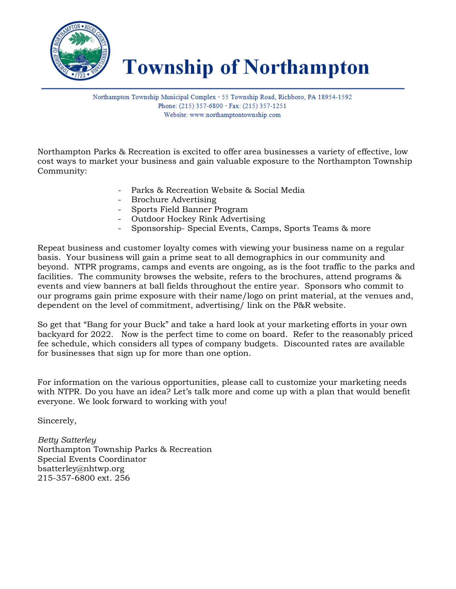

**Township of Northampton** 

Northampton Township Municipal Complex · 55 Township Road, Richboro, PA 18954-1592 Phone: (215) 357-6800  $\cdot$  Fax: (215) 357-1251 Website: www.northamptontownship.com

Northampton Parks & Recreation is excited to offer area businesses a variety of effective, low cost ways to market your business and gain valuable exposure to the Northampton Township Community:

- Parks & Recreation Website & Social Media
- Brochure Advertising
- Sports Field Banner Program
- Outdoor Hockey Rink Advertising
- Sponsorship- Special Events, Camps, Sports Teams & more

Repeat business and customer loyalty comes with viewing your business name on a regular basis. Your business will gain a prime seat to all demographics in our community and beyond. NTPR programs, camps and events are ongoing, as is the foot traffic to the parks and facilities. The community browses the website, refers to the brochures, attend programs & events and view banners at ball fields throughout the entire year. Sponsors who commit to our programs gain prime exposure with their name/logo on print material, at the venues and, dependent on the level of commitment, advertising/ link on the P&R website.

So get that "Bang for your Buck" and take a hard look at your marketing efforts in your own backyard for 2022. Now is the perfect time to come on board. Refer to the reasonably priced fee schedule, which considers all types of company budgets. Discounted rates are available for businesses that sign up for more than one option.

For information on the various opportunities, please call to customize your marketing needs with NTPR. Do you have an idea? Let's talk more and come up with a plan that would benefit everyone. We look forward to working with you!

Sincerely,

*Betty Satterley* Northampton Township Parks & Recreation Special Events Coordinator bsatterley@nhtwp.org 215-357-6800 ext. 256